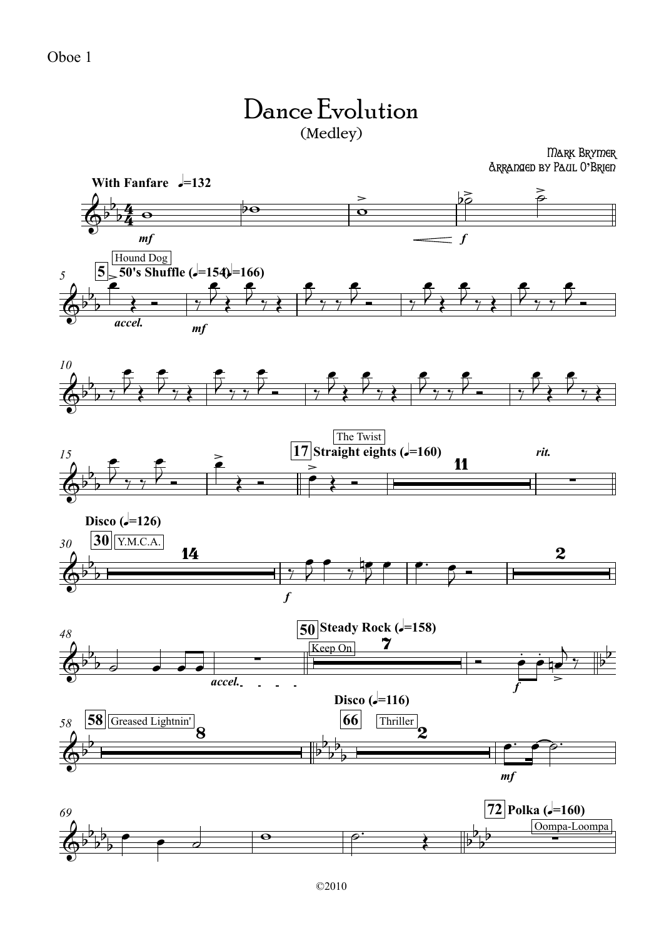## Dance Evolution (Medley)

Mark Brymer Arranged by Paul O**'**Brien

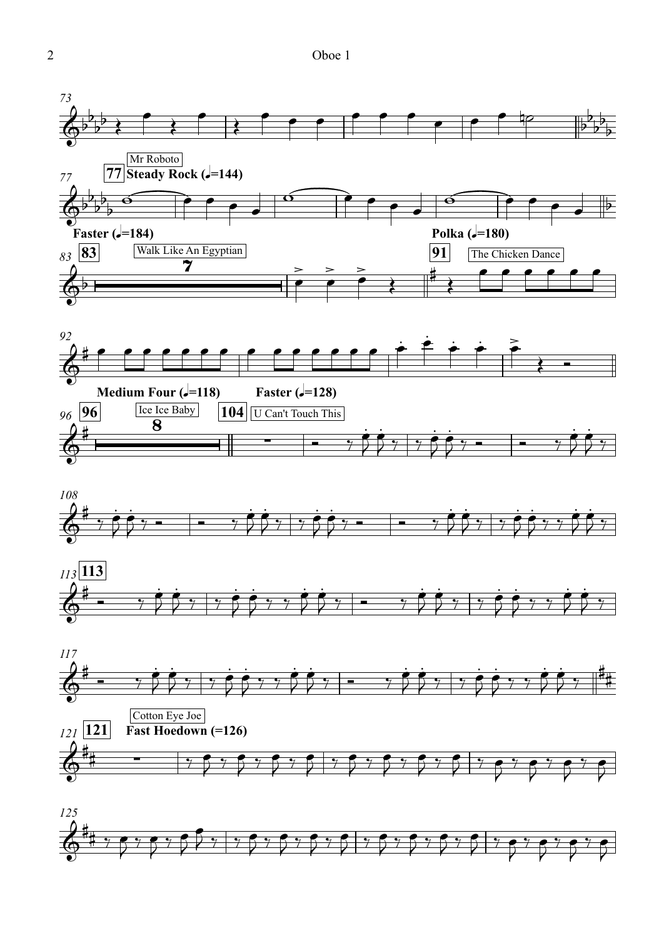